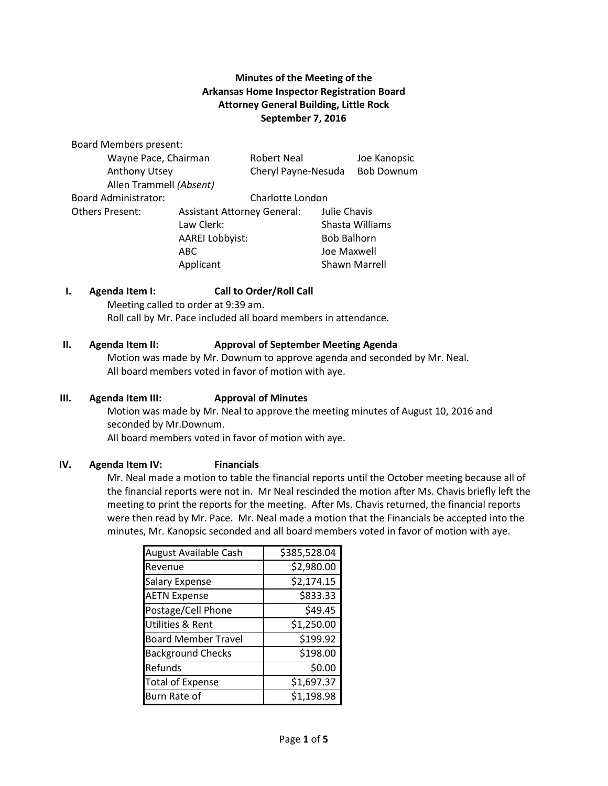## **Minutes of the Meeting of the Arkansas Home Inspector Registration Board Attorney General Building, Little Rock September 7, 2016**

Board Members present: Wayne Pace, Chairman Robert Neal Joe Kanopsic Anthony Utsey Cheryl Payne-Nesuda Bob Downum Allen Trammell *(Absent)* Board Administrator: Charlotte London Others Present: Assistant Attorney General: Julie Chavis Law Clerk: Shasta Williams AAREI Lobbyist: Bob Balhorn

### **I. Agenda Item I: Call to Order/Roll Call** Meeting called to order at 9:39 am.

Roll call by Mr. Pace included all board members in attendance.

### **II. Agenda Item II: Approval of September Meeting Agenda**

Motion was made by Mr. Downum to approve agenda and seconded by Mr. Neal. All board members voted in favor of motion with aye.

ABC Joe Maxwell Applicant Shawn Marrell

### **III. Agenda Item III: Approval of Minutes**

Motion was made by Mr. Neal to approve the meeting minutes of August 10, 2016 and seconded by Mr.Downum.

All board members voted in favor of motion with aye.

### **IV. Agenda Item IV: Financials**

Mr. Neal made a motion to table the financial reports until the October meeting because all of the financial reports were not in. Mr Neal rescinded the motion after Ms. Chavis briefly left the meeting to print the reports for the meeting. After Ms. Chavis returned, the financial reports were then read by Mr. Pace. Mr. Neal made a motion that the Financials be accepted into the minutes, Mr. Kanopsic seconded and all board members voted in favor of motion with aye.

| August Available Cash       | \$385,528.04 |
|-----------------------------|--------------|
| Revenue                     | \$2,980.00   |
| <b>Salary Expense</b>       | \$2,174.15   |
| <b>AETN Expense</b>         | \$833.33     |
| Postage/Cell Phone          | \$49.45      |
| <b>Utilities &amp; Rent</b> | \$1,250.00   |
| <b>Board Member Travel</b>  | \$199.92     |
| <b>Background Checks</b>    | \$198.00     |
| Refunds                     | \$0.00       |
| <b>Total of Expense</b>     | \$1,697.37   |
| Burn Rate of                | \$1,198.98   |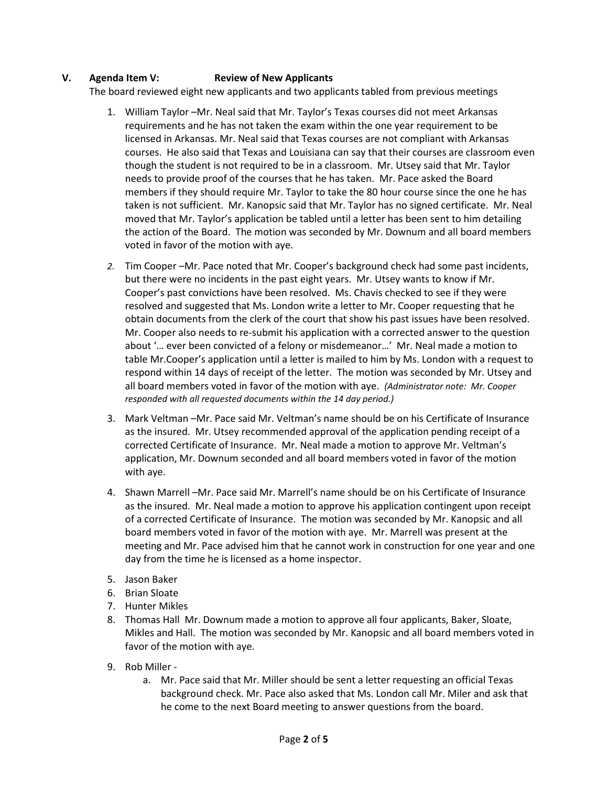## **V. Agenda Item V: Review of New Applicants**

The board reviewed eight new applicants and two applicants tabled from previous meetings

- 1. William Taylor –Mr. Neal said that Mr. Taylor's Texas courses did not meet Arkansas requirements and he has not taken the exam within the one year requirement to be licensed in Arkansas. Mr. Neal said that Texas courses are not compliant with Arkansas courses. He also said that Texas and Louisiana can say that their courses are classroom even though the student is not required to be in a classroom. Mr. Utsey said that Mr. Taylor needs to provide proof of the courses that he has taken. Mr. Pace asked the Board members if they should require Mr. Taylor to take the 80 hour course since the one he has taken is not sufficient. Mr. Kanopsic said that Mr. Taylor has no signed certificate. Mr. Neal moved that Mr. Taylor's application be tabled until a letter has been sent to him detailing the action of the Board. The motion was seconded by Mr. Downum and all board members voted in favor of the motion with aye.
- *2.* Tim Cooper –Mr. Pace noted that Mr. Cooper's background check had some past incidents, but there were no incidents in the past eight years. Mr. Utsey wants to know if Mr. Cooper's past convictions have been resolved. Ms. Chavis checked to see if they were resolved and suggested that Ms. London write a letter to Mr. Cooper requesting that he obtain documents from the clerk of the court that show his past issues have been resolved. Mr. Cooper also needs to re-submit his application with a corrected answer to the question about '… ever been convicted of a felony or misdemeanor…' Mr. Neal made a motion to table Mr.Cooper's application until a letter is mailed to him by Ms. London with a request to respond within 14 days of receipt of the letter. The motion was seconded by Mr. Utsey and all board members voted in favor of the motion with aye. *(Administrator note: Mr. Cooper responded with all requested documents within the 14 day period.)*
- 3. Mark Veltman –Mr. Pace said Mr. Veltman's name should be on his Certificate of Insurance as the insured. Mr. Utsey recommended approval of the application pending receipt of a corrected Certificate of Insurance. Mr. Neal made a motion to approve Mr. Veltman's application, Mr. Downum seconded and all board members voted in favor of the motion with aye.
- 4. Shawn Marrell –Mr. Pace said Mr. Marrell's name should be on his Certificate of Insurance as the insured. Mr. Neal made a motion to approve his application contingent upon receipt of a corrected Certificate of Insurance. The motion was seconded by Mr. Kanopsic and all board members voted in favor of the motion with aye. Mr. Marrell was present at the meeting and Mr. Pace advised him that he cannot work in construction for one year and one day from the time he is licensed as a home inspector.
- 5. Jason Baker
- 6. Brian Sloate
- 7. Hunter Mikles
- 8. Thomas Hall Mr. Downum made a motion to approve all four applicants, Baker, Sloate, Mikles and Hall. The motion was seconded by Mr. Kanopsic and all board members voted in favor of the motion with aye.
- 9. Rob Miller
	- a. Mr. Pace said that Mr. Miller should be sent a letter requesting an official Texas background check. Mr. Pace also asked that Ms. London call Mr. Miler and ask that he come to the next Board meeting to answer questions from the board.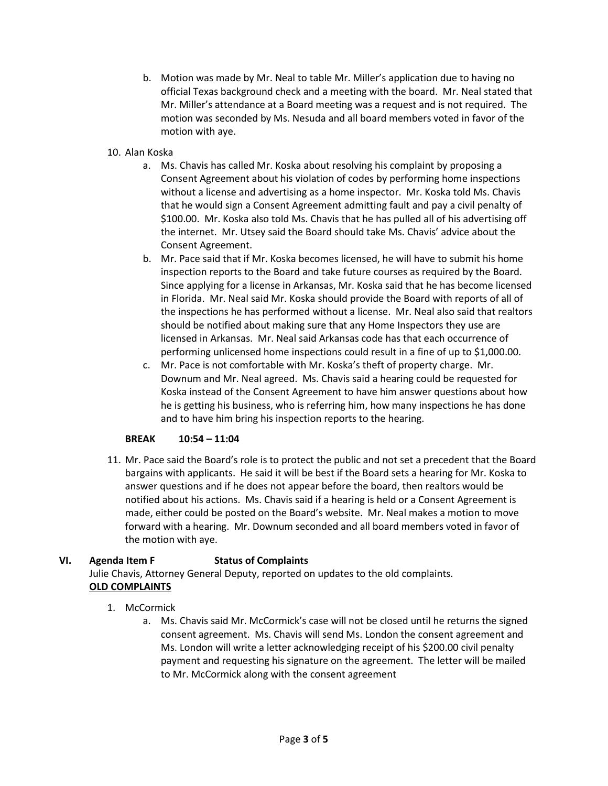- b. Motion was made by Mr. Neal to table Mr. Miller's application due to having no official Texas background check and a meeting with the board. Mr. Neal stated that Mr. Miller's attendance at a Board meeting was a request and is not required. The motion was seconded by Ms. Nesuda and all board members voted in favor of the motion with aye.
- 10. Alan Koska
	- a. Ms. Chavis has called Mr. Koska about resolving his complaint by proposing a Consent Agreement about his violation of codes by performing home inspections without a license and advertising as a home inspector. Mr. Koska told Ms. Chavis that he would sign a Consent Agreement admitting fault and pay a civil penalty of \$100.00. Mr. Koska also told Ms. Chavis that he has pulled all of his advertising off the internet. Mr. Utsey said the Board should take Ms. Chavis' advice about the Consent Agreement.
	- b. Mr. Pace said that if Mr. Koska becomes licensed, he will have to submit his home inspection reports to the Board and take future courses as required by the Board. Since applying for a license in Arkansas, Mr. Koska said that he has become licensed in Florida. Mr. Neal said Mr. Koska should provide the Board with reports of all of the inspections he has performed without a license. Mr. Neal also said that realtors should be notified about making sure that any Home Inspectors they use are licensed in Arkansas. Mr. Neal said Arkansas code has that each occurrence of performing unlicensed home inspections could result in a fine of up to \$1,000.00.
	- c. Mr. Pace is not comfortable with Mr. Koska's theft of property charge. Mr. Downum and Mr. Neal agreed. Ms. Chavis said a hearing could be requested for Koska instead of the Consent Agreement to have him answer questions about how he is getting his business, who is referring him, how many inspections he has done and to have him bring his inspection reports to the hearing.

## **BREAK 10:54 – 11:04**

11. Mr. Pace said the Board's role is to protect the public and not set a precedent that the Board bargains with applicants. He said it will be best if the Board sets a hearing for Mr. Koska to answer questions and if he does not appear before the board, then realtors would be notified about his actions. Ms. Chavis said if a hearing is held or a Consent Agreement is made, either could be posted on the Board's website. Mr. Neal makes a motion to move forward with a hearing. Mr. Downum seconded and all board members voted in favor of the motion with aye.

# **VI. Agenda Item F Status of Complaints**

Julie Chavis, Attorney General Deputy, reported on updates to the old complaints. **OLD COMPLAINTS**

# 1. McCormick

a. Ms. Chavis said Mr. McCormick's case will not be closed until he returns the signed consent agreement. Ms. Chavis will send Ms. London the consent agreement and Ms. London will write a letter acknowledging receipt of his \$200.00 civil penalty payment and requesting his signature on the agreement. The letter will be mailed to Mr. McCormick along with the consent agreement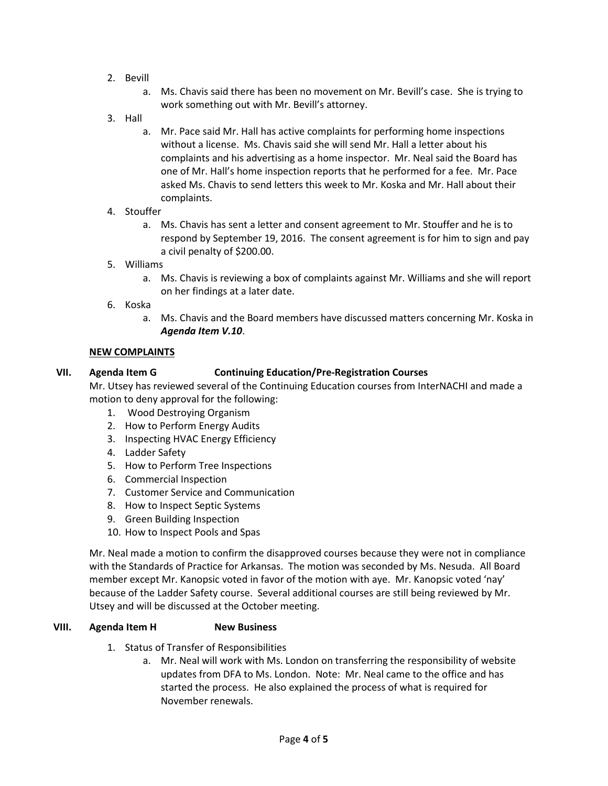- 2. Bevill
	- a. Ms. Chavis said there has been no movement on Mr. Bevill's case. She is trying to work something out with Mr. Bevill's attorney.
- 3. Hall
	- a. Mr. Pace said Mr. Hall has active complaints for performing home inspections without a license. Ms. Chavis said she will send Mr. Hall a letter about his complaints and his advertising as a home inspector. Mr. Neal said the Board has one of Mr. Hall's home inspection reports that he performed for a fee. Mr. Pace asked Ms. Chavis to send letters this week to Mr. Koska and Mr. Hall about their complaints.
- 4. Stouffer
	- a. Ms. Chavis has sent a letter and consent agreement to Mr. Stouffer and he is to respond by September 19, 2016. The consent agreement is for him to sign and pay a civil penalty of \$200.00.
- 5. Williams
	- a. Ms. Chavis is reviewing a box of complaints against Mr. Williams and she will report on her findings at a later date.
- 6. Koska
	- a. Ms. Chavis and the Board members have discussed matters concerning Mr. Koska in *Agenda Item V.10*.

### **NEW COMPLAINTS**

### **VII. Agenda Item G Continuing Education/Pre-Registration Courses**

Mr. Utsey has reviewed several of the Continuing Education courses from InterNACHI and made a motion to deny approval for the following:

- 1. Wood Destroying Organism
- 2. How to Perform Energy Audits
- 3. Inspecting HVAC Energy Efficiency
- 4. Ladder Safety
- 5. How to Perform Tree Inspections
- 6. Commercial Inspection
- 7. Customer Service and Communication
- 8. How to Inspect Septic Systems
- 9. Green Building Inspection
- 10. How to Inspect Pools and Spas

Mr. Neal made a motion to confirm the disapproved courses because they were not in compliance with the Standards of Practice for Arkansas. The motion was seconded by Ms. Nesuda. All Board member except Mr. Kanopsic voted in favor of the motion with aye. Mr. Kanopsic voted 'nay' because of the Ladder Safety course. Several additional courses are still being reviewed by Mr. Utsey and will be discussed at the October meeting.

### **VIII. Agenda Item H New Business**

- 1. Status of Transfer of Responsibilities
	- a. Mr. Neal will work with Ms. London on transferring the responsibility of website updates from DFA to Ms. London. Note: Mr. Neal came to the office and has started the process. He also explained the process of what is required for November renewals.